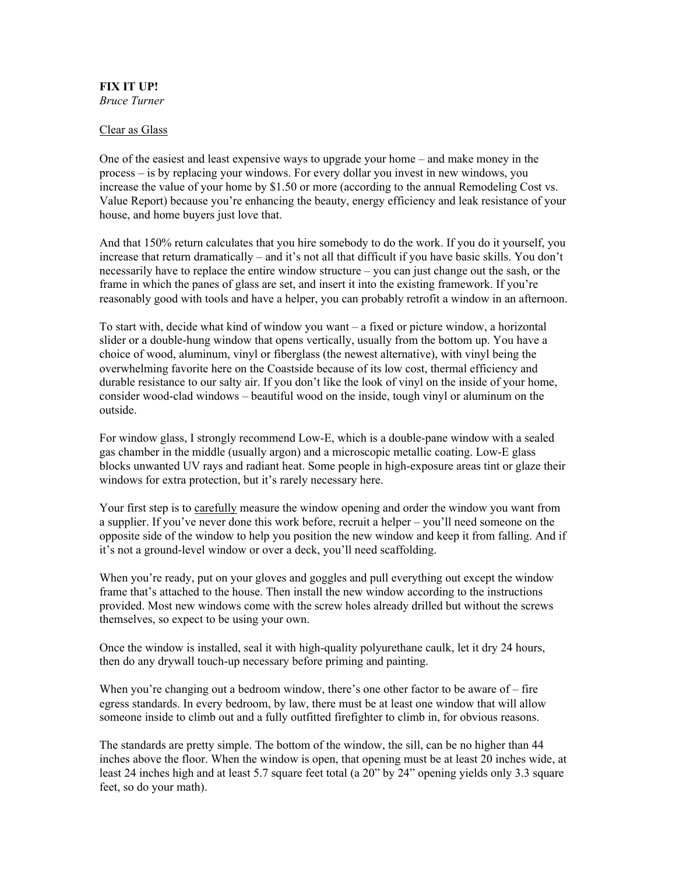## FIX IT UP! *Bruce Turner*

## Clear as Glass

One of the easiest and least expensive ways to upgrade your home – and make money in the process – is by replacing your windows. For every dollar you invest in new windows, you increase the value of your home by \$1.50 or more (according to the annual Remodeling Cost vs. Value Report) because you're enhancing the beauty, energy efficiency and leak resistance of your house, and home buyers just love that.

And that 150% return calculates that you hire somebody to do the work. If you do it yourself, you increase that return dramatically – and it's not all that difficult if you have basic skills. You don't necessarily have to replace the entire window structure – you can just change out the sash, or the frame in which the panes of glass are set, and insert it into the existing framework. If you're reasonably good with tools and have a helper, you can probably retrofit a window in an afternoon.

To start with, decide what kind of window you want – a fixed or picture window, a horizontal slider or a double-hung window that opens vertically, usually from the bottom up. You have a choice of wood, aluminum, vinyl or fiberglass (the newest alternative), with vinyl being the overwhelming favorite here on the Coastside because of its low cost, thermal efficiency and durable resistance to our salty air. If you don't like the look of vinyl on the inside of your home, consider wood-clad windows – beautiful wood on the inside, tough vinyl or aluminum on the outside.

For window glass, I strongly recommend Low-E, which is a double-pane window with a sealed gas chamber in the middle (usually argon) and a microscopic metallic coating. Low-E glass blocks unwanted UV rays and radiant heat. Some people in high-exposure areas tint or glaze their windows for extra protection, but it's rarely necessary here.

Your first step is to carefully measure the window opening and order the window you want from a supplier. If you've never done this work before, recruit a helper – you'll need someone on the opposite side of the window to help you position the new window and keep it from falling. And if it's not a ground-level window or over a deck, you'll need scaffolding.

When you're ready, put on your gloves and goggles and pull everything out except the window frame that's attached to the house. Then install the new window according to the instructions provided. Most new windows come with the screw holes already drilled but without the screws themselves, so expect to be using your own.

Once the window is installed, seal it with high-quality polyurethane caulk, let it dry 24 hours, then do any drywall touch-up necessary before priming and painting.

When you're changing out a bedroom window, there's one other factor to be aware of  $-$  fire egress standards. In every bedroom, by law, there must be at least one window that will allow someone inside to climb out and a fully outfitted firefighter to climb in, for obvious reasons.

The standards are pretty simple. The bottom of the window, the sill, can be no higher than 44 inches above the floor. When the window is open, that opening must be at least 20 inches wide, at least 24 inches high and at least 5.7 square feet total (a 20" by 24" opening yields only 3.3 square feet, so do your math).